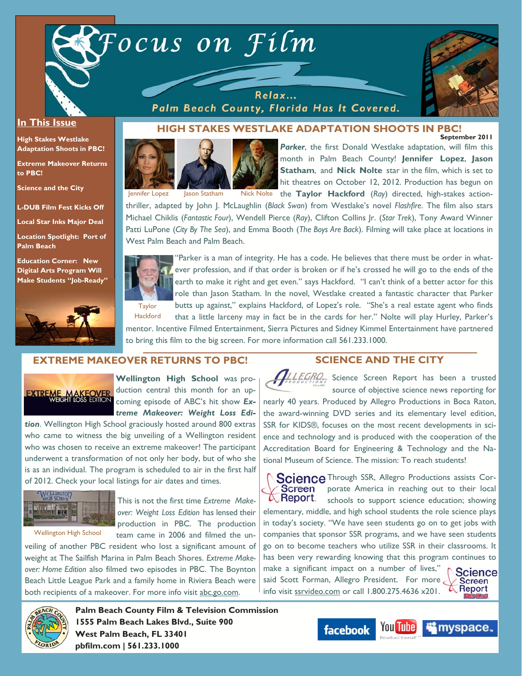

Relax... Palm Beach County, Florida Has It Covered.



#### **In This Issue**

**High Stakes Westlake Adaptation Shoots in PBC!** 

**Extreme Makeover Returns to PBC!** 

**Science and the City** 

**L-DUB Film Fest Kicks Off** 

**Local Star Inks Major Deal** 

**Location Spotlight: Port of Palm Beach** 

**Education Corner: New Digital Arts Program Will Make Students "Job-Ready"**



#### **September 2011 HIGH STAKES WESTLAKE ADAPTATION SHOOTS IN PBC!**



Parker, the first Donald Westlake adaptation, will film this month in Palm Beach County! **Jennifer Lopez**, **Jason Statham**, and **Nick Nolte** star in the film, which is set to hit theatres on October 12, 2012. Production has begun on Jennifer Lopez Jason Statham Nick Nolte the Taylor Hackford (Ray) directed, high-stakes action-

thriller, adapted by John J. McLaughlin (*Black Swan*) from Westlake's novel *Flashfire*. The film also stars Michael Chiklis (*Fantastic Four*), Wendell Pierce (*Ray*), Clifton Collins Jr. (*Star Trek*), Tony Award Winner Patti LuPone (*City By The Sea*), and Emma Booth (*The Boys Are Back*). Filming will take place at locations in West Palm Beach and Palm Beach.



"Parker is a man of integrity. He has a code. He believes that there must be order in whatever profession, and if that order is broken or if he's crossed he will go to the ends of the earth to make it right and get even." says Hackford. "I can't think of a better actor for this role than Jason Statham. In the novel, Westlake created a fantastic character that Parker butts up against," explains Hackford, of Lopez's role. "She's a real estate agent who finds that a little larceny may in fact be in the cards for her." Nolte will play Hurley, Parker's

mentor. Incentive Filmed Entertainment, Sierra Pictures and Sidney Kimmel Entertainment have partnered to bring this film to the big screen. For more information call 561.233.1000.

#### **EXTREME MAKEOVER RETURNS TO PBC!**

**Hackford** 



**Wellington High School** was production central this month for an upcoming episode of ABC's hit show *Extreme Makeover: Weight Loss Edi-*

*tion*. Wellington High School graciously hosted around 800 extras who came to witness the big unveiling of a Wellington resident who was chosen to receive an extreme makeover! The participant underwent a transformation of not only her body, but of who she is as an individual. The program is scheduled to air in the first half of 2012. Check your local listings for air dates and times.



Wellington High School

This is not the first time *Extreme Makeover: Weight Loss Edition* has lensed their production in PBC. The production team came in 2006 and filmed the un-

veiling of another PBC resident who lost a significant amount of weight at The Sailfish Marina in Palm Beach Shores. *Extreme Makeover: Home Edition* also filmed two episodes in PBC. The Boynton Beach Little League Park and a family home in Riviera Beach were both recipients of a makeover. For more info visit abc.go.com.



**Palm Beach County Film & Television Commission 1555 Palm Beach Lakes Blvd., Suite 900 West Palm Beach, FL 33401 pbfilm.com | 561.233.1000** 

#### **SCIENCE AND THE CITY**

**ILLEGRO**, Science Screen Report has been a trusted source of objective science news reporting for

nearly 40 years. Produced by Allegro Productions in Boca Raton, the award-winning DVD series and its elementary level edition, SSR for KIDS®, focuses on the most recent developments in science and technology and is produced with the cooperation of the Accreditation Board for Engineering & Technology and the National Museum of Science. The mission: To reach students!

Science Through SSR, Allegro Productions assists Corporate America in reaching out to their local Screen **A** Report. schools to support science education; showing elementary, middle, and high school students the role science plays in today's society. "We have seen students go on to get jobs with companies that sponsor SSR programs, and we have seen students go on to become teachers who utilize SSR in their classrooms. It has been very rewarding knowing that this program continues to make a significant impact on a number of lives," **Science** said Scott Forman, Allegro President. For more **Screen** Report info visit ssrvideo.com or call 1.800.275.4636 x201.

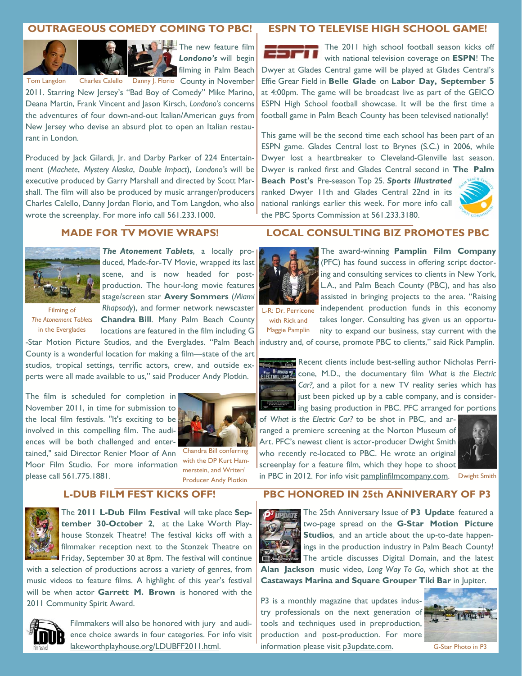# **OUTRAGEOUS COMEDY COMING TO PBC!**





**The new feature film** *Londono's* will begin filming in Palm Beach

Tom Langdon Charles Calello Danny J. Florio County in November

2011. Starring New Jersey's "Bad Boy of Comedy" Mike Marino, Deana Martin, Frank Vincent and Jason Kirsch, *Londono's* concerns the adventures of four down-and-out Italian/American guys from New Jersey who devise an absurd plot to open an Italian restaurant in London.

Produced by Jack Gilardi, Jr. and Darby Parker of 224 Entertainment (*Machete*, *Mystery Alaska*, *Double Impact*), *Londono's* will be executive produced by Garry Marshall and directed by Scott Marshall. The film will also be produced by music arranger/producers Charles Calello, Danny Jordan Florio, and Tom Langdon, who also wrote the screenplay. For more info call 561.233.1000.

## **ESPN TO TELEVISE HIGH SCHOOL GAME!**

The 2011 high school football season kicks off 63 F I I with national television coverage on **ESPN**! The Dwyer at Glades Central game will be played at Glades Central's Effie Grear Field in **Belle Glade** on **Labor Day, September 5**  at 4:00pm. The game will be broadcast live as part of the GEICO ESPN High School football showcase. It will be the first time a football game in Palm Beach County has been televised nationally!

This game will be the second time each school has been part of an ESPN game. Glades Central lost to Brynes (S.C.) in 2006, while Dwyer lost a heartbreaker to Cleveland-Glenville last season. Dwyer is ranked first and Glades Central second in **The Palm** 

**Beach Post's** Pre-season Top 25. *Sports Illustrated*  ranked Dwyer 11th and Glades Central 22nd in its national rankings earlier this week. For more info call the PBC Sports Commission at 561.233.3180.



#### **MADE FOR TV MOVIE WRAPS!**



Rhapsody), and former network newscaster L-R: Dr. Perricone *The Atonement Tablets*, a locally produced, Made-for-TV Movie, wrapped its last scene, and is now headed for postproduction. The hour-long movie features stage/screen star **Avery Sommers** (*Miami* 

Filming of *The Atonement Tablets*  in the Everglades

**Chandra Bill**. Many Palm Beach County locations are featured in the film including G -Star Motion Picture Studios, and the Everglades. "Palm Beach

County is a wonderful location for making a film—state of the art studios, tropical settings, terrific actors, crew, and outside experts were all made available to us," said Producer Andy Plotkin.

The film is scheduled for completion in November 2011, in time for submission to the local film festivals. "It's exciting to be involved in this compelling film. The audiences will be both challenged and entertained," said Director Renier Moor of Ann Moor Film Studio. For more information



Chandra Bill conferring with the DP Kurt Hammerstein, and Writer/ Producer Andy Plotkin

### **L-DUB FILM FEST KICKS OFF!**



please call 561.775.1881.

The **2011 L-Dub Film Festival** will take place **September 30-October 2**, at the Lake Worth Playhouse Stonzek Theatre! The festival kicks off with a filmmaker reception next to the Stonzek Theatre on Friday, September 30 at 8pm. The festival will continue

with a selection of productions across a variety of genres, from music videos to feature films. A highlight of this year's festival will be when actor **Garrett M. Brown** is honored with the 2011 Community Spirit Award.



Filmmakers will also be honored with jury and audience choice awards in four categories. For info visit lakeworthplayhouse.org/LDUBFF2011.html.

### **LOCAL CONSULTING BIZ PROMOTES PBC**



The award-winning **Pamplin Film Company**  (PFC) has found success in offering script doctoring and consulting services to clients in New York, L.A., and Palm Beach County (PBC), and has also assisted in bringing projects to the area. "Raising independent production funds in this economy

with Rick and

takes longer. Consulting has given us an opportunity to expand our business, stay current with the industry and, of course, promote PBC to clients," said Rick Pamplin. Maggie Pamplin



Recent clients include best-selling author Nicholas Perricone, M.D., the documentary film *What is the Electric Car?,* and a pilot for a new TV reality series which has just been picked up by a cable company, and is considering basing production in PBC. PFC arranged for portions

of *What is the Electric Car?* to be shot in PBC, and arranged a premiere screening at the Norton Museum of Art. PFC's newest client is actor-producer Dwight Smith who recently re-located to PBC. He wrote an original screenplay for a feature film, which they hope to shoot



in PBC in 2012. For info visit pamplinfilmcompany.com. Dwight Smith

# **PBC HONORED IN 25th ANNIVERARY OF P3**



P3 is a monthly magazine that updates industry professionals on the next generation of tools and techniques used in preproduction, production and post-production. For more information please visit p3update.com. G-Star Photo in P3

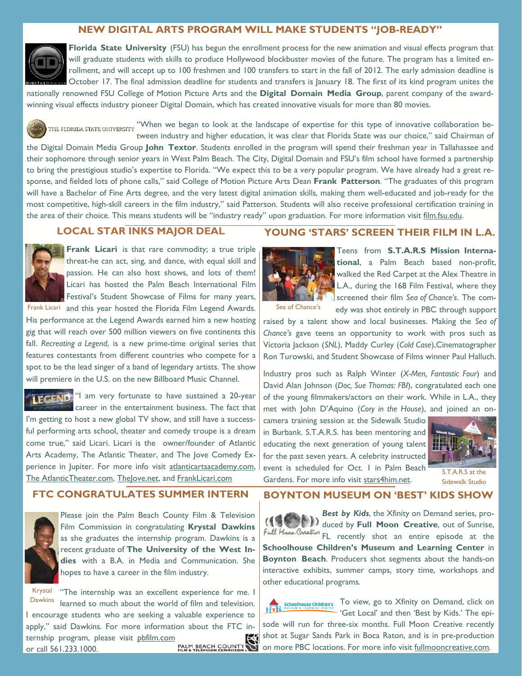## **NEW DIGITAL ARTS PROGRAM WILL MAKE STUDENTS "JOB-READY"**



**Florida State University** (FSU) has begun the enrollment process for the new animation and visual effects program that will graduate students with skills to produce Hollywood blockbuster movies of the future. The program has a limited enrollment, and will accept up to 100 freshmen and 100 transfers to start in the fall of 2012. The early admission deadline is October 17. The final admission deadline for students and transfers is January 18. The first of its kind program unites the nationally renowned FSU College of Motion Picture Arts and the **Digital Domain Media Group**, parent company of the awardwinning visual effects industry pioneer Digital Domain, which has created innovative visuals for more than 80 movies.

THE FLORIDA STATE UNIVERSITY "When we began to look at the landscape of expertise for this type of innovative collaboration between industry and higher education, it was clear that Florida State was our choice," said Chairman of

the Digital Domain Media Group **John Textor**. Students enrolled in the program will spend their freshman year in Tallahassee and their sophomore through senior years in West Palm Beach. The City, Digital Domain and FSU's film school have formed a partnership to bring the prestigious studio's expertise to Florida. "We expect this to be a very popular program. We have already had a great response, and fielded lots of phone calls," said College of Motion Picture Arts Dean **Frank Patterson**. "The graduates of this program will have a Bachelor of Fine Arts degree, and the very latest digital animation skills, making them well-educated and job-ready for the most competitive, high-skill careers in the film industry," said Patterson. Students will also receive professional certification training in the area of their choice. This means students will be "industry ready" upon graduation. For more information visit film.fsu.edu.

# **LOCAL STAR INKS MAJOR DEAL**



**Frank Licari** is that rare commodity; a true triple threat-he can act, sing, and dance, with equal skill and passion. He can also host shows, and lots of them! Licari has hosted the Palm Beach International Film Festival's Student Showcase of Films for many years,

Frank Licari and this year hosted the Florida Film Legend Awards. Sea of Chance's His performance at the Legend Awards earned him a new hosting gig that will reach over 500 million viewers on five continents this fall. *Recreating a Legend*, is a new prime-time original series that features contestants from different countries who compete for a spot to be the lead singer of a band of legendary artists. The show will premiere in the U.S. on the new Billboard Music Channel.

**TEGEND** "I am very fortunate to have sustained a 20-year career in the entertainment business. The fact that I'm getting to host a new global TV show, and still have a successful performing arts school, theater and comedy troupe is a dream come true," said Licari. Licari is the owner/founder of Atlantic Arts Academy, The Atlantic Theater, and The Jove Comedy Experience in Jupiter. For more info visit atlanticartsacademy.com, The AtlanticTheater.com, TheJove.net, and FrankLicari.com

# **FTC CONGRATULATES SUMMER INTERN**



Please join the Palm Beach County Film & Television Film Commission in congratulating **Krystal Dawkins**  as she graduates the internship program. Dawkins is a recent graduate of **The University of the West Indies** with a B.A. in Media and Communication. She hopes to have a career in the film industry.

Krystal "The internship was an excellent experience for me. I Dawkins learned so much about the world of film and television. I encourage students who are seeking a valuable experience to apply," said Dawkins. For more information about the FTC internship program, please visit pbfilm.com or call 561.233.1000.

### **YOUNG 'STARS' SCREEN THEIR FILM IN L.A.**



Teens from **S.T.A.R.S Mission International**, a Palm Beach based non-profit, walked the Red Carpet at the Alex Theatre in L.A., during the 168 Film Festival, where they screened their film *Sea of Chance's*. The comedy was shot entirely in PBC through support

raised by a talent show and local businesses. Making the *Sea of Chance's* gave teens an opportunity to work with pros such as Victoria Jackson (*SNL*), Maddy Curley (*Cold Case*),Cinematographer Ron Turowski, and Student Showcase of Films winner Paul Halluch.

Industry pros such as Ralph Winter (*X-Men, Fantastic Four*) and David Alan Johnson (*Doc, Sue Thomas: FBI*), congratulated each one of the young filmmakers/actors on their work. While in L.A., they met with John D'Aquino (*Cory in the House*), and joined an on-

camera training session at the Sidewalk Studio in Burbank. S.T.A.R.S. has been mentoring and educating the next generation of young talent for the past seven years. A celebrity instructed event is scheduled for Oct. I in Palm Beach event is scheduled for Oct. I in Faim Beach S.T.A.R.S at the Gardens. For more info visit stars4him.net.

![](_page_2_Picture_21.jpeg)

Sidewalk Studio

# **BOYNTON MUSEUM ON 'BEST' KIDS SHOW**

*Best by Kids*, the Xfinity on Demand series, produced by **Full Moon Creative**, out of Sunrise, Full *Hoop Creation* FL recently shot an entire episode at the **Schoolhouse Children's Museum and Learning Center** in **Boynton Beach**. Producers shot segments about the hands-on interactive exhibits, summer camps, story time, workshops and other educational programs.

To view, go to Xfinity on Demand, click on **Schoolhouse Children's** 'Get Local' and then 'Best by Kids.' The episode will run for three-six months. Full Moon Creative recently shot at Sugar Sands Park in Boca Raton, and is in pre-production on more PBC locations. For more info visit fullmooncreative.com.